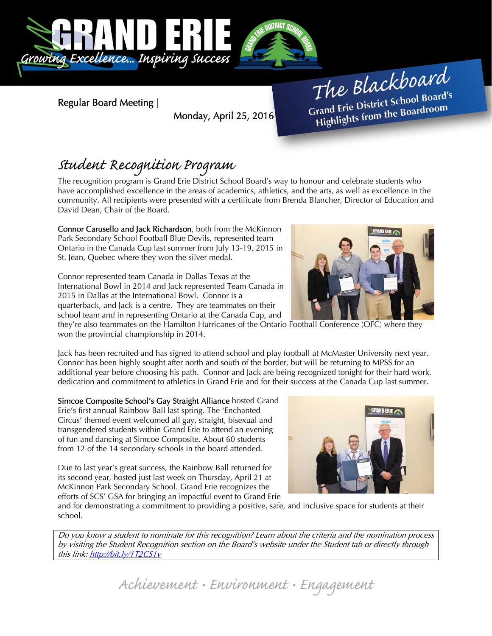

Regular Board Meeting |

Monday, April 25, 2016

The Blackboard The Burnor<br>Grand Erie District School Board's<br>Little from the Boardroom rand Erie District Schoor Board<br>Highlights from the Boardroom

# Student Recognition Program

The recognition program is Grand Erie District School Board's way to honour and celebrate students who have accomplished excellence in the areas of academics, athletics, and the arts, as well as excellence in the community. All recipients were presented with a certificate from Brenda Blancher, Director of Education and David Dean, Chair of the Board.

Connor Carusello and Jack Richardson, both from the McKinnon Park Secondary School Football Blue Devils, represented team Ontario in the Canada Cup last summer from July 13-19, 2015 in St. Jean, Quebec where they won the silver medal.

Connor represented team Canada in Dallas Texas at the International Bowl in 2014 and Jack represented Team Canada in 2015 in Dallas at the International Bowl. Connor is a quarterback, and Jack is a centre. They are teammates on their school team and in representing Ontario at the Canada Cup, and

they're also teammates on the Hamilton Hurricanes of the Ontario Football Conference (OFC) where they won the provincial championship in 2014.

Jack has been recruited and has signed to attend school and play football at McMaster University next year. Connor has been highly sought after north and south of the border, but will be returning to MPSS for an additional year before choosing his path. Connor and Jack are being recognized tonight for their hard work, dedication and commitment to athletics in Grand Erie and for their success at the Canada Cup last summer.

Simcoe Composite School's Gay Straight Alliance hosted Grand Erie's first annual Rainbow Ball last spring. The 'Enchanted Circus' themed event welcomed all gay, straight, bisexual and transgendered students within Grand Erie to attend an evening of fun and dancing at Simcoe Composite. About 60 students from 12 of the 14 secondary schools in the board attended.

Due to last year's great success, the Rainbow Ball returned for its second year, hosted just last week on Thursday, April 21 at McKinnon Park Secondary School. Grand Erie recognizes the efforts of SCS' GSA for bringing an impactful event to Grand Erie



and for demonstrating a commitment to providing a positive, safe, and inclusive space for students at their school.

Do you know a student to nominate for this recognition? Learn about the criteria and the nomination process by visiting the Student Recognition section on the Board's website under the Student tab or directly through this link: http://bit.ly/1T2CS1v

Achievement • Environment • Engagement

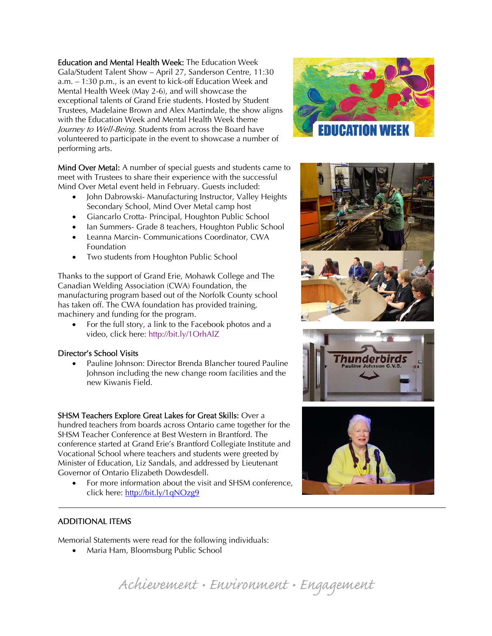Education and Mental Health Week: The Education Week Gala/Student Talent Show – April 27, Sanderson Centre, 11:30 a.m. – 1:30 p.m., is an event to kick-off Education Week and Mental Health Week (May 2-6), and will showcase the exceptional talents of Grand Erie students. Hosted by Student Trustees, Madelaine Brown and Alex Martindale, the show aligns with the Education Week and Mental Health Week theme Journey to Well-Being. Students from across the Board have volunteered to participate in the event to showcase a number of performing arts.

Mind Over Metal: A number of special guests and students came to meet with Trustees to share their experience with the successful Mind Over Metal event held in February. Guests included:

- John Dabrowski- Manufacturing Instructor, Valley Heights Secondary School, Mind Over Metal camp host
- Giancarlo Crotta- Principal, Houghton Public School
- Ian Summers- Grade 8 teachers, Houghton Public School
- Leanna Marcin- Communications Coordinator, CWA Foundation
- Two students from Houghton Public School

Thanks to the support of Grand Erie, Mohawk College and The Canadian Welding Association (CWA) Foundation, the manufacturing program based out of the Norfolk County school has taken off. The CWA foundation has provided training, machinery and funding for the program.

• For the full story, a link to the Facebook photos and a video, click here: http://bit.ly/1OrhAlZ

## Director's School Visits

 Pauline Johnson: Director Brenda Blancher toured Pauline Johnson including the new change room facilities and the new Kiwanis Field.

## SHSM Teachers Explore Great Lakes for Great Skills: Over a

hundred teachers from boards across Ontario came together for the SHSM Teacher Conference at Best Western in Brantford. The conference started at Grand Erie's Brantford Collegiate Institute and Vocational School where teachers and students were greeted by Minister of Education, Liz Sandals, and addressed by Lieutenant Governor of Ontario Elizabeth Dowdesdell.

 For more information about the visit and SHSM conference, click here: http://bit.ly/1qNOzg9







## ADDITIONAL ITEMS

Ī

Memorial Statements were read for the following individuals:

• Maria Ham, Bloomsburg Public School

Achievement • Environment • Engagement